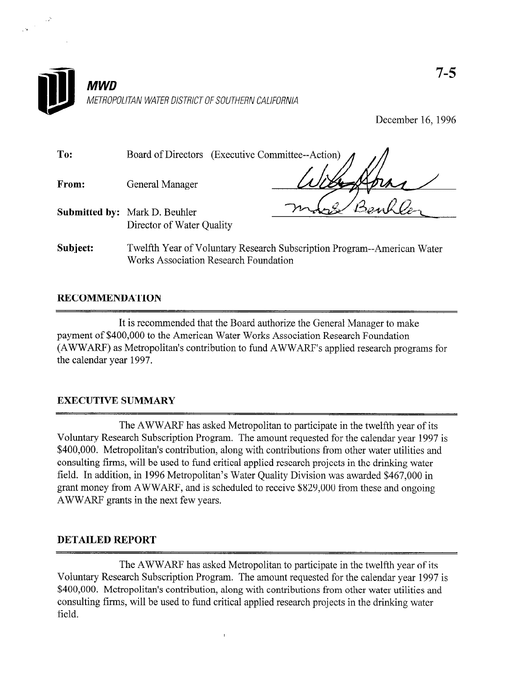

December 16,1996

| To:      | Board of Directors (Executive Committee--Action) |                                                                         |
|----------|--------------------------------------------------|-------------------------------------------------------------------------|
| From:    | General Manager                                  |                                                                         |
|          | <b>Submitted by:</b> Mark D. Beuhler             |                                                                         |
|          | Director of Water Quality                        |                                                                         |
| Subject: | <b>Works Association Research Foundation</b>     | Twelfth Year of Voluntary Research Subscription Program--American Water |

## RECOMMENDATION

 $\frac{1}{2} \frac{1}{2} \frac{1}{2} \frac{1}{2}$ 

It is recommended that the Board authorize the General Manager to make payment of \$400,000 to the American Water Works Association Research Foundation (AWWARF) as Metropolitan's contribution to fund AWWARF's applied research programs for the calendar year 1997.

## EXECUTIVE SUMMARY

The AWWARF has asked Metropolitan to participate in the twelfth year of its Voluntary Research Subscription Program. The amount requested for the calendar year 1997 is \$400,000. Metropolitan's contribution, along with contributions from other water utilities and consulting firms, will be used to fund critical applied research projects in the drinking water field. In addition, in 1996 Metropolitan's Water Quality Division was awarded \$467,000 in grant money from AWWARF, and is scheduled to receive \$829,000 from these and ongoing .AWWARF grants in the next few years.

## DETAILED REPORT

The AWWARF has asked Metropolitan to participate in the twelfth year of its Voluntary Research Subscription Program. The amount requested for the calendar year 1997 is \$400,000. Metropolitan's contribution, along with contributions from other water utilities and consulting firms, will be used to fund critical applied research projects in the drinking water field.

 $\overline{1}$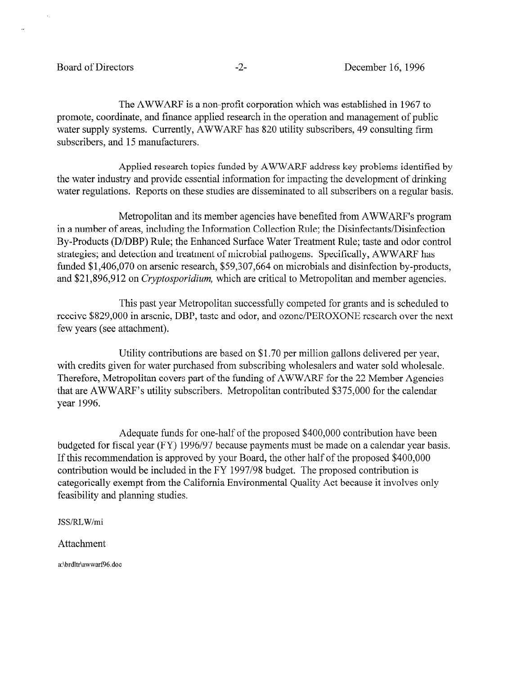The AWWARF is a non-profit corporation which was established in 1967 to promote, coordinate, and finance applied research in the operation and management of public water supply systems. Currently, AWWARF has 820 utility subscribers, 49 consulting firm subscribers, and 15 manufacturers.

Applied research topics funded by AWWARF address key problems identified by the water industry and provide essential information for impacting the development of drinking water regulations. Reports on these studies are disseminated to all subscribers on a regular basis.

Metropolitan and its member agencies have benefited from AWWARF's program in a number of areas, including the Information Collection Rule; the Disinfectants/Disinfection By-Products (D/DBP) Rule; the Enhanced Surface Water Treatment Rule; taste and odor control strategies; and detection and treatment of microbial pathogens. Specifically, AWWARF has funded \$1,406,070 on arsenic research, \$59,307,664 on microbials and disinfection by-products, and \$21,896,912 on *Cryptosporidium*, which are critical to Metropolitan and member agencies.

This past year Metropolitan successfully competed for grants and is scheduled to receive \$829,000 in arsenic, DBP, taste and odor, and ozone/PEROXONE research over the next few years (see attachment).

Utility contributions are based on \$1.70 per million gallons delivered per year, with credits given for water purchased from subscribing wholesalers and water sold wholesale. Therefore, Metropolitan covers part of the funding of AWWARF for the 22 Member Agencies that are AWWARF's utility subscribers. Metropolitan contributed \$375,000 for the calendar year 1996.

Adequate funds for one-half of the proposed \$400,000 contribution have been budgeted for fiscal year (FY) 1996/97 because payments must be made on a calendar year basis. If this recommendation is approved by your Board, the other half of the proposed \$400,000 contribution would be included in the FY 1997/98 budget. The proposed contribution is categorically exempt from the California Environmental Quality Act because it involves only feasibility and planning studies.

JSS/RLW/mi

Attachment

a:\brdltr\awwarf96,doc